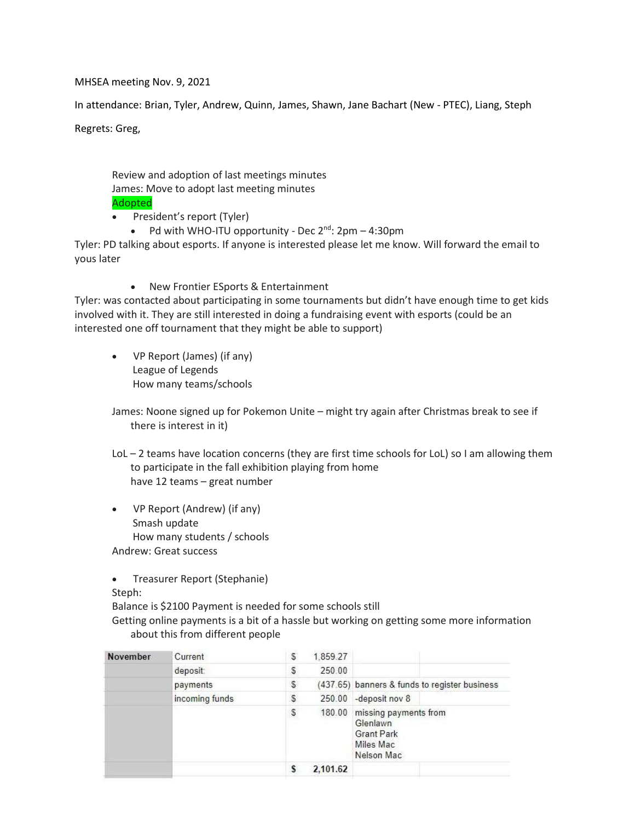MHSEA meeting Nov. 9, 2021

In attendance: Brian, Tyler, Andrew, Quinn, James, Shawn, Jane Bachart (New - PTEC), Liang, Steph

Regrets: Greg,

Review and adoption of last meetings minutes James: Move to adopt last meeting minutes Adopted

- President's report (Tyler)
	- Pd with WHO-ITU opportunity Dec 2<sup>nd</sup>: 2pm 4:30pm

Tyler: PD talking about esports. If anyone is interested please let me know. Will forward the email to yous later

• New Frontier ESports & Entertainment

Tyler: was contacted about participating in some tournaments but didn't have enough time to get kids involved with it. They are still interested in doing a fundraising event with esports (could be an interested one off tournament that they might be able to support)

• VP Report (James) (if any) League of Legends How many teams/schools

James: Noone signed up for Pokemon Unite – might try again after Christmas break to see if there is interest in it)

- LoL 2 teams have location concerns (they are first time schools for LoL) so I am allowing them to participate in the fall exhibition playing from home have 12 teams – great number
- VP Report (Andrew) (if any) Smash update How many students / schools Andrew: Great success

• Treasurer Report (Stephanie)

Steph:

Balance is \$2100 Payment is needed for some schools still

Getting online payments is a bit of a hassle but working on getting some more information about this from different people

| November | Current        | s | 1.859.27 |                                                                                   |
|----------|----------------|---|----------|-----------------------------------------------------------------------------------|
|          | deposit:       | S | 250.00   |                                                                                   |
|          | payments       | s |          | (437.65) banners & funds to register business                                     |
|          | incoming funds | S |          | 250.00 -deposit nov 8                                                             |
|          |                | S | 180.00   | missing payments from<br>Glenlawn<br><b>Grant Park</b><br>Miles Mac<br>Nelson Mac |
|          |                | s | 2,101.62 |                                                                                   |
|          |                |   |          |                                                                                   |